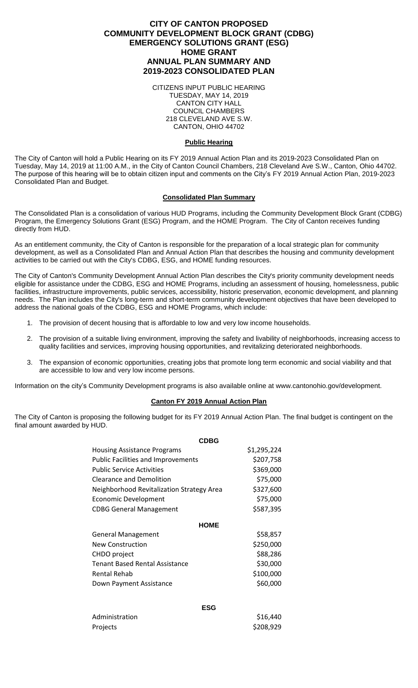# **CITY OF CANTON PROPOSED COMMUNITY DEVELOPMENT BLOCK GRANT (CDBG) EMERGENCY SOLUTIONS GRANT (ESG) HOME GRANT ANNUAL PLAN SUMMARY AND 2019-2023 CONSOLIDATED PLAN**

CITIZENS INPUT PUBLIC HEARING TUESDAY, MAY 14, 2019 CANTON CITY HALL COUNCIL CHAMBERS 218 CLEVELAND AVE S.W. CANTON, OHIO 44702

### **Public Hearing**

The City of Canton will hold a Public Hearing on its FY 2019 Annual Action Plan and its 2019-2023 Consolidated Plan on Tuesday, May 14, 2019 at 11:00 A.M., in the City of Canton Council Chambers, 218 Cleveland Ave S.W., Canton, Ohio 44702. The purpose of this hearing will be to obtain citizen input and comments on the City's FY 2019 Annual Action Plan, 2019-2023 Consolidated Plan and Budget.

## **Consolidated Plan Summary**

The Consolidated Plan is a consolidation of various HUD Programs, including the Community Development Block Grant (CDBG) Program, the Emergency Solutions Grant (ESG) Program, and the HOME Program. The City of Canton receives funding directly from HUD.

As an entitlement community, the City of Canton is responsible for the preparation of a local strategic plan for community development, as well as a Consolidated Plan and Annual Action Plan that describes the housing and community development activities to be carried out with the City's CDBG, ESG, and HOME funding resources.

The City of Canton's Community Development Annual Action Plan describes the City's priority community development needs eligible for assistance under the CDBG, ESG and HOME Programs, including an assessment of housing, homelessness, public facilities, infrastructure improvements, public services, accessibility, historic preservation, economic development, and planning needs. The Plan includes the City's long-term and short-term community development objectives that have been developed to address the national goals of the CDBG, ESG and HOME Programs, which include:

- 1. The provision of decent housing that is affordable to low and very low income households.
- 2. The provision of a suitable living environment, improving the safety and livability of neighborhoods, increasing access to quality facilities and services, improving housing opportunities, and revitalizing deteriorated neighborhoods.
- 3. The expansion of economic opportunities, creating jobs that promote long term economic and social viability and that are accessible to low and very low income persons.

Information on the city's Community Development programs is also available online at www.cantonohio.gov/development.

### **Canton FY 2019 Annual Action Plan**

The City of Canton is proposing the following budget for its FY 2019 Annual Action Plan. The final budget is contingent on the final amount awarded by HUD.

| <b>CDBG</b>                               |             |
|-------------------------------------------|-------------|
| <b>Housing Assistance Programs</b>        | \$1,295,224 |
| <b>Public Facilities and Improvements</b> | \$207,758   |
| <b>Public Service Activities</b>          | \$369,000   |
| <b>Clearance and Demolition</b>           | \$75,000    |
| Neighborhood Revitalization Strategy Area | \$327,600   |
| <b>Economic Development</b>               | \$75,000    |
| <b>CDBG General Management</b>            | \$587,395   |
| <b>HOME</b>                               |             |
| <b>General Management</b>                 | \$58,857    |
| <b>New Construction</b>                   | \$250,000   |
| CHDO project                              | \$88,286    |
| <b>Tenant Based Rental Assistance</b>     | \$30,000    |
| <b>Rental Rehab</b>                       | \$100,000   |
| Down Payment Assistance                   | \$60,000    |
| <b>ESG</b>                                |             |
| Administration                            | \$16,440    |
| Projects                                  | \$208,929   |